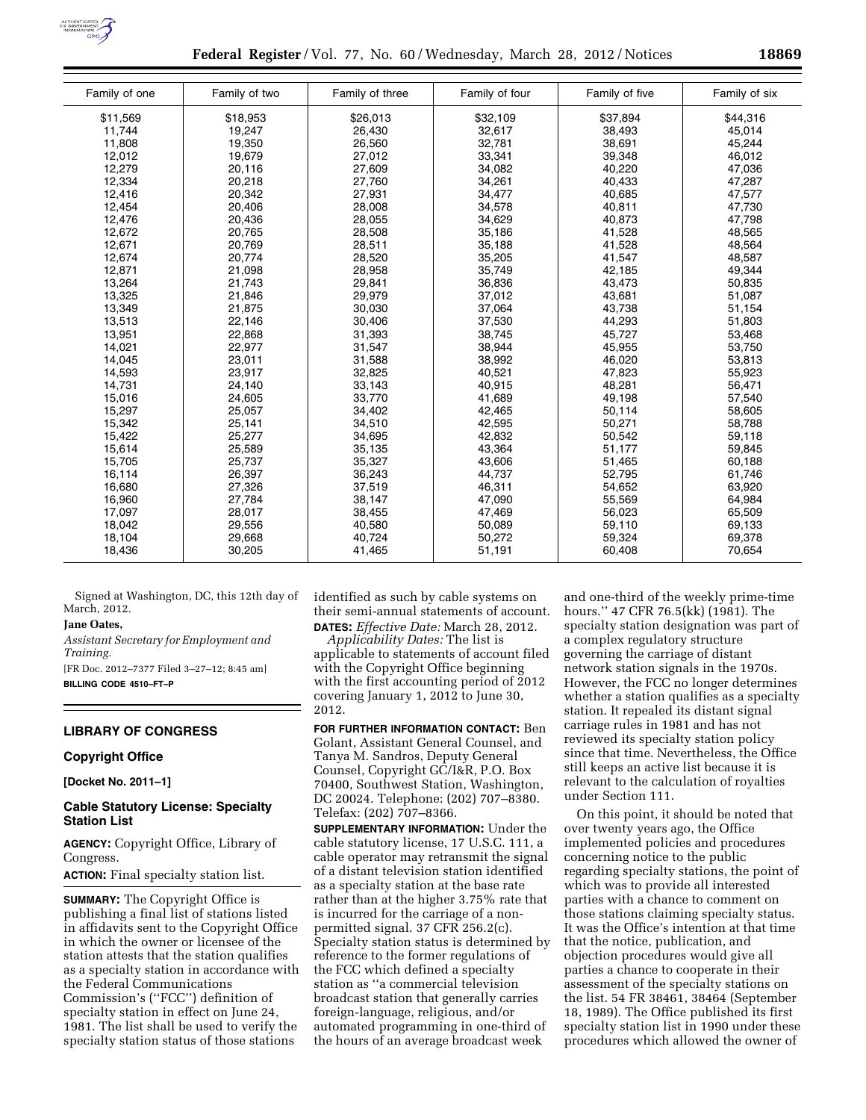

**Federal Register** / Vol. 77, No. 60 / Wednesday, March 28, 2012 / Notices **18869** 

| Family of one | Family of two | Family of three | Family of four | Family of five | Family of six |
|---------------|---------------|-----------------|----------------|----------------|---------------|
| \$11,569      | \$18,953      | \$26,013        | \$32,109       | \$37,894       | \$44,316      |
| 11,744        | 19,247        | 26,430          | 32,617         | 38,493         | 45,014        |
| 11,808        | 19,350        | 26,560          | 32,781         | 38,691         | 45,244        |
| 12,012        | 19,679        | 27,012          | 33,341         | 39,348         | 46,012        |
| 12,279        | 20,116        | 27,609          | 34,082         | 40,220         | 47,036        |
| 12,334        | 20,218        | 27,760          | 34,261         | 40,433         | 47,287        |
| 12,416        | 20,342        | 27,931          | 34,477         | 40,685         | 47,577        |
| 12,454        | 20,406        | 28,008          | 34,578         | 40,811         | 47,730        |
| 12,476        | 20,436        | 28,055          | 34,629         | 40,873         | 47,798        |
| 12,672        | 20,765        | 28,508          | 35,186         | 41,528         | 48,565        |
| 12,671        | 20,769        | 28,511          | 35,188         | 41,528         | 48,564        |
| 12,674        | 20,774        | 28,520          | 35,205         | 41,547         | 48,587        |
| 12,871        | 21,098        | 28,958          | 35,749         | 42,185         | 49,344        |
| 13,264        | 21,743        | 29,841          | 36,836         | 43,473         | 50,835        |
| 13,325        | 21,846        | 29,979          | 37,012         | 43,681         | 51,087        |
| 13,349        | 21,875        | 30,030          | 37,064         | 43,738         | 51,154        |
| 13,513        | 22,146        | 30,406          | 37,530         | 44,293         | 51,803        |
| 13,951        | 22,868        | 31,393          | 38,745         | 45,727         | 53,468        |
| 14,021        | 22,977        | 31,547          | 38,944         | 45,955         | 53,750        |
| 14,045        | 23,011        | 31,588          | 38,992         | 46,020         | 53,813        |
| 14,593        | 23,917        | 32,825          | 40,521         | 47,823         | 55,923        |
| 14,731        | 24,140        | 33,143          | 40,915         | 48,281         | 56,471        |
| 15,016        | 24,605        | 33,770          | 41,689         | 49,198         | 57,540        |
| 15,297        | 25,057        | 34,402          | 42,465         | 50,114         | 58,605        |
| 15,342        | 25,141        | 34,510          | 42,595         | 50,271         | 58,788        |
| 15,422        | 25,277        | 34,695          | 42,832         | 50,542         | 59,118        |
| 15,614        | 25,589        | 35,135          | 43,364         | 51,177         | 59,845        |
| 15,705        | 25,737        | 35,327          | 43,606         | 51,465         | 60,188        |
| 16,114        | 26,397        | 36,243          | 44,737         | 52,795         | 61,746        |
| 16,680        | 27,326        | 37,519          | 46,311         | 54,652         | 63,920        |
| 16,960        | 27,784        | 38,147          | 47,090         | 55,569         | 64,984        |
| 17,097        | 28,017        | 38,455          | 47,469         | 56,023         | 65,509        |
| 18,042        | 29,556        | 40,580          | 50,089         | 59,110         | 69,133        |
| 18,104        | 29,668        | 40,724          | 50,272         | 59,324         | 69,378        |
| 18,436        | 30,205        | 41,465          | 51,191         | 60,408         | 70,654        |
|               |               |                 |                |                |               |

Signed at Washington, DC, this 12th day of March, 2012.

# **Jane Oates,**

*Assistant Secretary for Employment and Training.* 

[FR Doc. 2012–7377 Filed 3–27–12; 8:45 am] **BILLING CODE 4510–FT–P** 

#### **LIBRARY OF CONGRESS**

#### **Copyright Office**

**[Docket No. 2011–1]** 

### **Cable Statutory License: Specialty Station List**

**AGENCY:** Copyright Office, Library of Congress.

**ACTION:** Final specialty station list.

**SUMMARY:** The Copyright Office is publishing a final list of stations listed in affidavits sent to the Copyright Office in which the owner or licensee of the station attests that the station qualifies as a specialty station in accordance with the Federal Communications Commission's (''FCC'') definition of specialty station in effect on June 24, 1981. The list shall be used to verify the specialty station status of those stations

identified as such by cable systems on their semi-annual statements of account. **DATES:** *Effective Date:* March 28, 2012.

*Applicability Dates:* The list is applicable to statements of account filed with the Copyright Office beginning with the first accounting period of 2012 covering January 1, 2012 to June 30, 2012.

**FOR FURTHER INFORMATION CONTACT:** Ben Golant, Assistant General Counsel, and Tanya M. Sandros, Deputy General Counsel, Copyright GC/I&R, P.O. Box 70400, Southwest Station, Washington, DC 20024. Telephone: (202) 707–8380. Telefax: (202) 707–8366.

**SUPPLEMENTARY INFORMATION:** Under the cable statutory license, 17 U.S.C. 111, a cable operator may retransmit the signal of a distant television station identified as a specialty station at the base rate rather than at the higher 3.75% rate that is incurred for the carriage of a nonpermitted signal. 37 CFR 256.2(c). Specialty station status is determined by reference to the former regulations of the FCC which defined a specialty station as ''a commercial television broadcast station that generally carries foreign-language, religious, and/or automated programming in one-third of the hours of an average broadcast week

and one-third of the weekly prime-time hours.'' 47 CFR 76.5(kk) (1981). The specialty station designation was part of a complex regulatory structure governing the carriage of distant network station signals in the 1970s. However, the FCC no longer determines whether a station qualifies as a specialty station. It repealed its distant signal carriage rules in 1981 and has not reviewed its specialty station policy since that time. Nevertheless, the Office still keeps an active list because it is relevant to the calculation of royalties under Section 111.

On this point, it should be noted that over twenty years ago, the Office implemented policies and procedures concerning notice to the public regarding specialty stations, the point of which was to provide all interested parties with a chance to comment on those stations claiming specialty status. It was the Office's intention at that time that the notice, publication, and objection procedures would give all parties a chance to cooperate in their assessment of the specialty stations on the list. 54 FR 38461, 38464 (September 18, 1989). The Office published its first specialty station list in 1990 under these procedures which allowed the owner of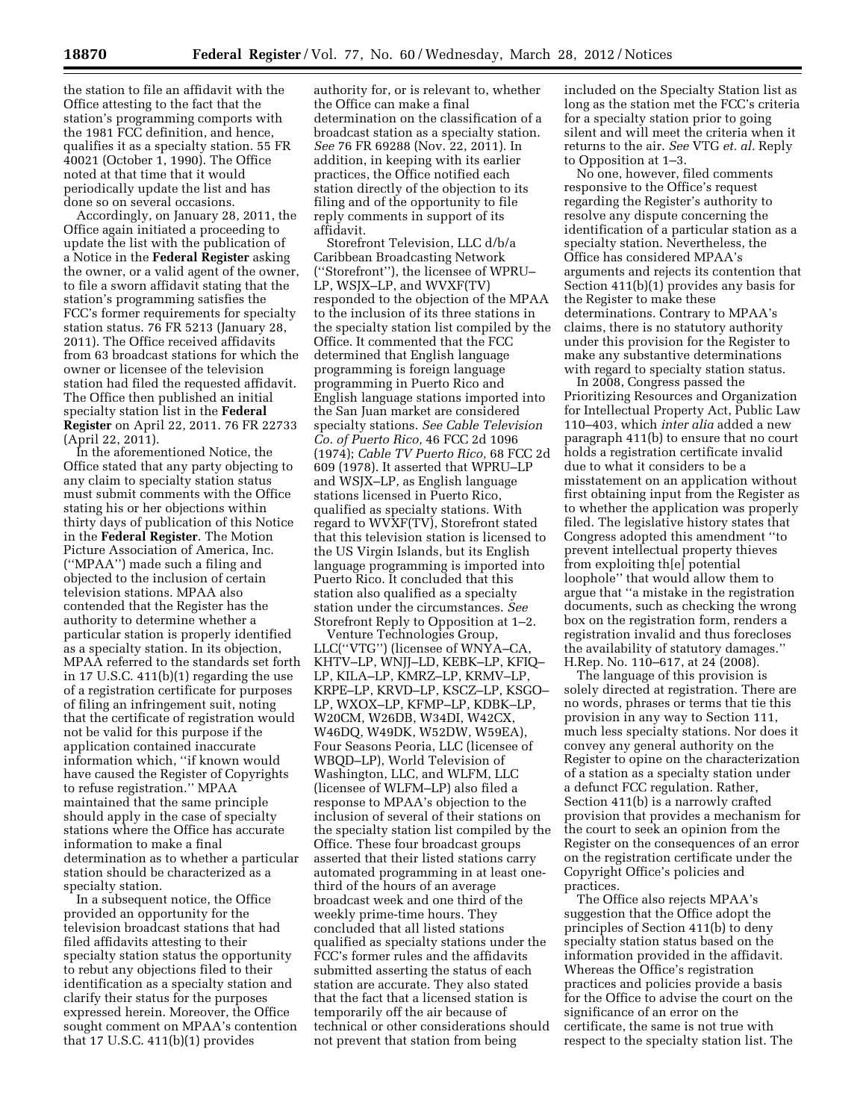the station to file an affidavit with the Office attesting to the fact that the station's programming comports with the 1981 FCC definition, and hence, qualifies it as a specialty station. 55 FR 40021 (October 1, 1990). The Office noted at that time that it would periodically update the list and has done so on several occasions.

Accordingly, on January 28, 2011, the Office again initiated a proceeding to update the list with the publication of a Notice in the **Federal Register** asking the owner, or a valid agent of the owner, to file a sworn affidavit stating that the station's programming satisfies the FCC's former requirements for specialty station status. 76 FR 5213 (January 28, 2011). The Office received affidavits from 63 broadcast stations for which the owner or licensee of the television station had filed the requested affidavit. The Office then published an initial specialty station list in the **Federal Register** on April 22, 2011. 76 FR 22733 (April 22, 2011).

In the aforementioned Notice, the Office stated that any party objecting to any claim to specialty station status must submit comments with the Office stating his or her objections within thirty days of publication of this Notice in the **Federal Register**. The Motion Picture Association of America, Inc. (''MPAA'') made such a filing and objected to the inclusion of certain television stations. MPAA also contended that the Register has the authority to determine whether a particular station is properly identified as a specialty station. In its objection, MPAA referred to the standards set forth in 17 U.S.C. 411(b)(1) regarding the use of a registration certificate for purposes of filing an infringement suit, noting that the certificate of registration would not be valid for this purpose if the application contained inaccurate information which, ''if known would have caused the Register of Copyrights to refuse registration.'' MPAA maintained that the same principle should apply in the case of specialty stations where the Office has accurate information to make a final determination as to whether a particular station should be characterized as a specialty station.

In a subsequent notice, the Office provided an opportunity for the television broadcast stations that had filed affidavits attesting to their specialty station status the opportunity to rebut any objections filed to their identification as a specialty station and clarify their status for the purposes expressed herein. Moreover, the Office sought comment on MPAA's contention that 17 U.S.C. 411(b)(1) provides

authority for, or is relevant to, whether the Office can make a final determination on the classification of a broadcast station as a specialty station. *See* 76 FR 69288 (Nov. 22, 2011). In addition, in keeping with its earlier practices, the Office notified each station directly of the objection to its filing and of the opportunity to file reply comments in support of its affidavit.

Storefront Television, LLC d/b/a Caribbean Broadcasting Network (''Storefront''), the licensee of WPRU– LP, WSJX–LP, and WVXF(TV) responded to the objection of the MPAA to the inclusion of its three stations in the specialty station list compiled by the Office. It commented that the FCC determined that English language programming is foreign language programming in Puerto Rico and English language stations imported into the San Juan market are considered specialty stations. *See Cable Television Co. of Puerto Rico,* 46 FCC 2d 1096 (1974); *Cable TV Puerto Rico,* 68 FCC 2d 609 (1978). It asserted that WPRU–LP and WSJX–LP, as English language stations licensed in Puerto Rico, qualified as specialty stations. With regard to WVXF(TV), Storefront stated that this television station is licensed to the US Virgin Islands, but its English language programming is imported into Puerto Rico. It concluded that this station also qualified as a specialty station under the circumstances. *See*  Storefront Reply to Opposition at 1–2.

Venture Technologies Group, LLC(''VTG'') (licensee of WNYA–CA, KHTV–LP, WNJJ–LD, KEBK–LP, KFIQ– LP, KILA–LP, KMRZ–LP, KRMV–LP, KRPE–LP, KRVD–LP, KSCZ–LP, KSGO– LP, WXOX–LP, KFMP–LP, KDBK–LP, W20CM, W26DB, W34DI, W42CX, W46DQ, W49DK, W52DW, W59EA), Four Seasons Peoria, LLC (licensee of WBQD–LP), World Television of Washington, LLC, and WLFM, LLC (licensee of WLFM–LP) also filed a response to MPAA's objection to the inclusion of several of their stations on the specialty station list compiled by the Office. These four broadcast groups asserted that their listed stations carry automated programming in at least onethird of the hours of an average broadcast week and one third of the weekly prime-time hours. They concluded that all listed stations qualified as specialty stations under the FCC's former rules and the affidavits submitted asserting the status of each station are accurate. They also stated that the fact that a licensed station is temporarily off the air because of technical or other considerations should not prevent that station from being

included on the Specialty Station list as long as the station met the FCC's criteria for a specialty station prior to going silent and will meet the criteria when it returns to the air. *See* VTG *et. al.* Reply to Opposition at 1–3.

No one, however, filed comments responsive to the Office's request regarding the Register's authority to resolve any dispute concerning the identification of a particular station as a specialty station. Nevertheless, the Office has considered MPAA's arguments and rejects its contention that Section 411(b)(1) provides any basis for the Register to make these determinations. Contrary to MPAA's claims, there is no statutory authority under this provision for the Register to make any substantive determinations with regard to specialty station status.

In 2008, Congress passed the Prioritizing Resources and Organization for Intellectual Property Act, Public Law 110–403, which *inter alia* added a new paragraph 411(b) to ensure that no court holds a registration certificate invalid due to what it considers to be a misstatement on an application without first obtaining input from the Register as to whether the application was properly filed. The legislative history states that Congress adopted this amendment ''to prevent intellectual property thieves from exploiting th[e] potential loophole'' that would allow them to argue that ''a mistake in the registration documents, such as checking the wrong box on the registration form, renders a registration invalid and thus forecloses the availability of statutory damages.'' H.Rep. No. 110–617, at 24 (2008).

The language of this provision is solely directed at registration. There are no words, phrases or terms that tie this provision in any way to Section 111, much less specialty stations. Nor does it convey any general authority on the Register to opine on the characterization of a station as a specialty station under a defunct FCC regulation. Rather, Section 411(b) is a narrowly crafted provision that provides a mechanism for the court to seek an opinion from the Register on the consequences of an error on the registration certificate under the Copyright Office's policies and practices.

The Office also rejects MPAA's suggestion that the Office adopt the principles of Section 411(b) to deny specialty station status based on the information provided in the affidavit. Whereas the Office's registration practices and policies provide a basis for the Office to advise the court on the significance of an error on the certificate, the same is not true with respect to the specialty station list. The